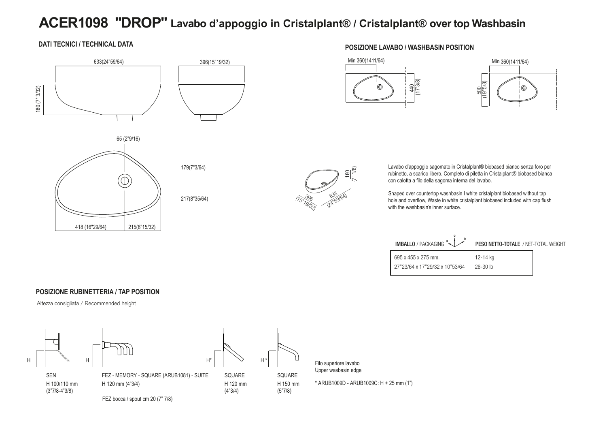# **ACER1098 "DROP" Lavabo d'appoggio in Cristalplant® / Cristalplant® over top Washbasin**

#### **DATI TECNICI / TECHNICAL DATA**







#### **POSIZIONE LAVABO / WASHBASIN POSITION**







Lavabo d'appoggio sagomato in Cristalplant® biobased bianco senza foro per rubinetto, a scarico libero. Completo di piletta in Cristalplant® biobased bianca con calotta a filo della sagoma interna del lavabo.

Shaped over countertop washbasin I white cristalplant biobased without tap hole and overflow, Waste in white cristalplant biobased included with cap flush with the washbasin's inner surface.

| <b>IMBALLO</b> / PACKAGING $\left(\frac{a}{b}\right)^b$ | PESO NETTO-TOTALE / NET-TOTAL WEIGHT |  |
|---------------------------------------------------------|--------------------------------------|--|
| 695 x 455 x 275 mm.                                     | 12-14 ka                             |  |
| 27"23/64 x 17"29/32 x 10"53/64                          | $26 - 30$ lb                         |  |

#### **POSIZIONE RUBINETTERIA / TAP POSITION**

Altezza consigliata / Recommended height

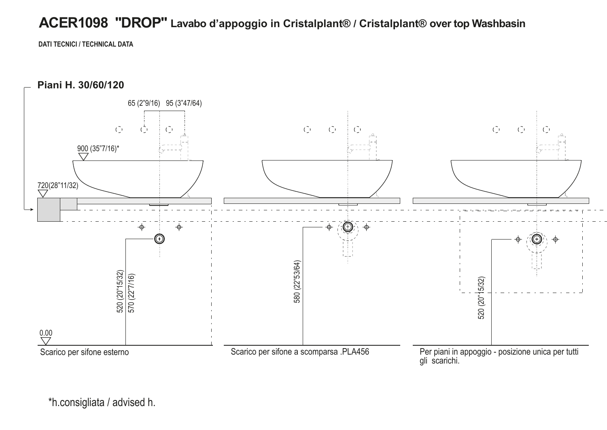# **ACER1098 "DROP" Lavabo d'appoggio in Cristalplant® / Cristalplant® over top Washbasin**

**DATI TECNICI / TECHNICAL DATA**



\*h.consigliata / advised h.